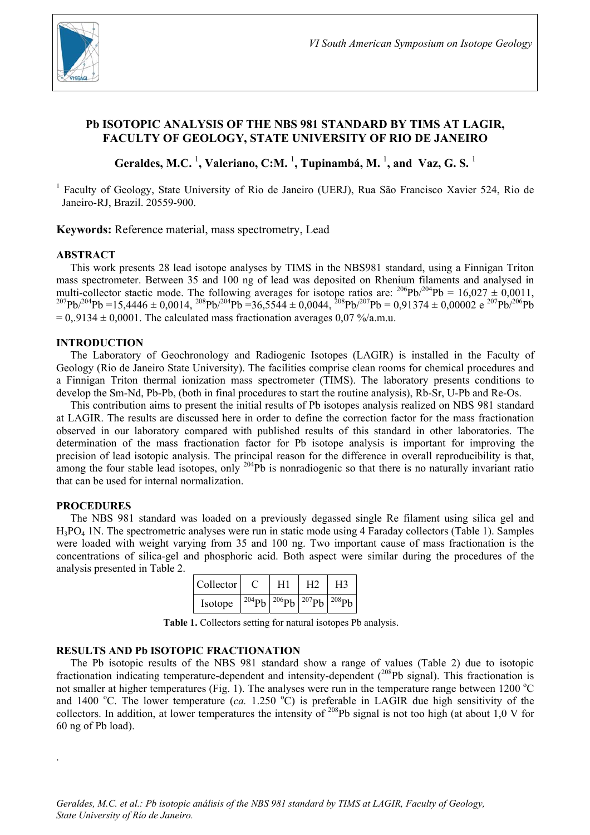

# **Pb ISOTOPIC ANALYSIS OF THE NBS 981 STANDARD BY TIMS AT LAGIR, FACULTY OF GEOLOGY, STATE UNIVERSITY OF RIO DE JANEIRO**

Geraldes, M.C. <sup>1</sup>, Valeriano, C:M. <sup>1</sup>, Tupinambá, M. <sup>1</sup>, and Vaz, G. S. <sup>1</sup>

<sup>1</sup> Faculty of Geology, State University of Rio de Janeiro (UERJ), Rua São Francisco Xavier 524, Rio de Janeiro-RJ, Brazil. 20559-900.

**Keywords:** Reference material, mass spectrometry, Lead

### **ABSTRACT**

This work presents 28 lead isotope analyses by TIMS in the NBS981 standard, using a Finnigan Triton mass spectrometer. Between 35 and 100 ng of lead was deposited on Rhenium filaments and analysed in multi-collector stactic mode. The following averages for isotope ratios are:  $^{206}Pb^{204}Pb = 16,027 \pm 0,0011$ .  $^{207}Pb^{204}Pb = 15,4446 \pm 0.0014$ ,  $^{208}Pb^{204}Pb = 36,5544 \pm 0.0044$ ,  $^{208}Pb^{207}Pb = 0.91374 \pm 0.00002$  e  $^{207}Pb^{206}Pb$  $= 0.9134 \pm 0.0001$ . The calculated mass fractionation averages 0.07 %/a.m.u.

#### **INTRODUCTION**

The Laboratory of Geochronology and Radiogenic Isotopes (LAGIR) is installed in the Faculty of Geology (Rio de Janeiro State University). The facilities comprise clean rooms for chemical procedures and a Finnigan Triton thermal ionization mass spectrometer (TIMS). The laboratory presents conditions to develop the Sm-Nd, Pb-Pb, (both in final procedures to start the routine analysis), Rb-Sr, U-Pb and Re-Os.

This contribution aims to present the initial results of Pb isotopes analysis realized on NBS 981 standard at LAGIR. The results are discussed here in order to define the correction factor for the mass fractionation observed in our laboratory compared with published results of this standard in other laboratories. The determination of the mass fractionation factor for Pb isotope analysis is important for improving the precision of lead isotopic analysis. The principal reason for the difference in overall reproducibility is that, among the four stable lead isotopes, only <sup>204</sup>Pb is nonradiogenic so that there is no naturally invariant ratio that can be used for internal normalization.

## **PROCEDURES**

.

The NBS 981 standard was loaded on a previously degassed single Re filament using silica gel and  $H_3PO_4$  1N. The spectrometric analyses were run in static mode using 4 Faraday collectors (Table 1). Samples were loaded with weight varying from 35 and 100 ng. Two important cause of mass fractionation is the concentrations of silica-gel and phosphoric acid. Both aspect were similar during the procedures of the analysis presented in Table 2.

| Collector |                                                                         | H1 | H <sub>2</sub> | H <sub>3</sub> |
|-----------|-------------------------------------------------------------------------|----|----------------|----------------|
| Isotope   | $\frac{204}{9}$ b $\frac{206}{9}$ b $\frac{207}{9}$ b $\frac{208}{9}$ b |    |                |                |

**Table 1.** Collectors setting for natural isotopes Pb analysis.

#### **RESULTS AND Pb ISOTOPIC FRACTIONATION**

The Pb isotopic results of the NBS 981 standard show a range of values (Table 2) due to isotopic fractionation indicating temperature-dependent and intensity-dependent (<sup>208</sup>Pb signal). This fractionation is not smaller at higher temperatures (Fig. 1). The analyses were run in the temperature range between 1200  $^{\circ}$ C and 1400 °C. The lower temperature  $(ca. 1.250 °C)$  is preferable in LAGIR due high sensitivity of the collectors. In addition, at lower temperatures the intensity of <sup>208</sup>Pb signal is not too high (at about 1,0 V for 60 ng of Pb load).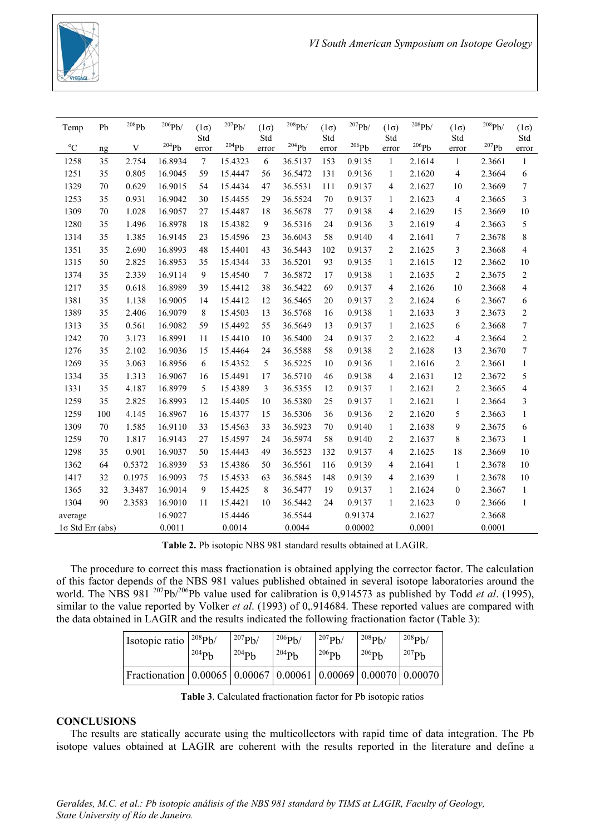

| Temp                    | Pb     | 208Pb  | 206Pb/              | $(1\sigma)$<br>Std | 207Pb/  | $(1\sigma)$<br>Std | 208Pb/  | $(1\sigma)$<br>Std | $^{207}Pb/$         | $(1\sigma)$<br>Std       | $^{208}\mathrm{Pb}$ | $(1\sigma)$<br>Std | 208Pb/ | $(1\sigma)$<br>Std       |
|-------------------------|--------|--------|---------------------|--------------------|---------|--------------------|---------|--------------------|---------------------|--------------------------|---------------------|--------------------|--------|--------------------------|
| $^{\circ}C$             | ng     | V      | $^{204}\mathrm{Pb}$ | error              | 204Pb   | error              | 204Pb   | error              | $^{206}\mathrm{Pb}$ | error                    | $^{206}\mathrm{Pb}$ | error              | 207Pb  | error                    |
| 1258                    | 35     | 2.754  | 16.8934             | $\overline{7}$     | 15.4323 | 6                  | 36.5137 | 153                | 0.9135              | $\mathbf{1}$             | 2.1614              | $\mathbf{1}$       | 2.3661 | $\mathbf{1}$             |
| 1251                    | 35     | 0.805  | 16.9045             | 59                 | 15.4447 | 56                 | 36.5472 | 131                | 0.9136              | $\mathbf{1}$             | 2.1620              | 4                  | 2.3664 | 6                        |
| 1329                    | 70     | 0.629  | 16.9015             | 54                 | 15.4434 | 47                 | 36.5531 | 111                | 0.9137              | 4                        | 2.1627              | 10                 | 2.3669 | 7                        |
| 1253                    | 35     | 0.931  | 16.9042             | 30                 | 15.4455 | 29                 | 36.5524 | 70                 | 0.9137              | $\mathbf{1}$             | 2.1623              | 4                  | 2.3665 | 3                        |
| 1309                    | 70     | 1.028  | 16.9057             | 27                 | 15.4487 | 18                 | 36.5678 | 77                 | 0.9138              | $\overline{4}$           | 2.1629              | 15                 | 2.3669 | 10                       |
| 1280                    | 35     | 1.496  | 16.8978             | 18                 | 15.4382 | 9                  | 36.5316 | 24                 | 0.9136              | 3                        | 2.1619              | 4                  | 2.3663 | 5                        |
| 1314                    | 35     | 1.385  | 16.9145             | 23                 | 15.4596 | 23                 | 36.6043 | 58                 | 0.9140              | $\overline{4}$           | 2.1641              | 7                  | 2.3678 | 8                        |
| 1351                    | 35     | 2.690  | 16.8993             | 48                 | 15.4401 | 43                 | 36.5443 | 102                | 0.9137              | 2                        | 2.1625              | 3                  | 2.3668 | $\overline{4}$           |
| 1315                    | 50     | 2.825  | 16.8953             | 35                 | 15.4344 | 33                 | 36.5201 | 93                 | 0.9135              | $\mathbf{1}$             | 2.1615              | 12                 | 2.3662 | 10                       |
| 1374                    | 35     | 2.339  | 16.9114             | 9                  | 15.4540 | 7                  | 36.5872 | 17                 | 0.9138              | $\mathbf{1}$             | 2.1635              | $\overline{c}$     | 2.3675 | $\overline{2}$           |
| 1217                    | 35     | 0.618  | 16.8989             | 39                 | 15.4412 | 38                 | 36.5422 | 69                 | 0.9137              | $\overline{\mathcal{L}}$ | 2.1626              | 10                 | 2.3668 | $\overline{\mathcal{L}}$ |
| 1381                    | 35     | 1.138  | 16.9005             | 14                 | 15.4412 | 12                 | 36.5465 | 20                 | 0.9137              | $\overline{c}$           | 2.1624              | 6                  | 2.3667 | 6                        |
| 1389                    | 35     | 2.406  | 16.9079             | 8                  | 15.4503 | 13                 | 36.5768 | 16                 | 0.9138              | $\mathbf{1}$             | 2.1633              | 3                  | 2.3673 | $\overline{c}$           |
| 1313                    | 35     | 0.561  | 16.9082             | 59                 | 15.4492 | 55                 | 36.5649 | 13                 | 0.9137              | $\mathbf{1}$             | 2.1625              | 6                  | 2.3668 | $\tau$                   |
| 1242                    | 70     | 3.173  | 16.8991             | 11                 | 15.4410 | 10                 | 36.5400 | 24                 | 0.9137              | 2                        | 2.1622              | 4                  | 2.3664 | $\mathbf{2}$             |
| 1276                    | 35     | 2.102  | 16.9036             | 15                 | 15.4464 | 24                 | 36.5588 | 58                 | 0.9138              | $\overline{c}$           | 2.1628              | 13                 | 2.3670 | 7                        |
| 1269                    | 35     | 3.063  | 16.8956             | 6                  | 15.4352 | 5                  | 36.5225 | 10                 | 0.9136              | 1                        | 2.1616              | $\overline{c}$     | 2.3661 | $\mathbf{1}$             |
| 1334                    | 35     | 1.313  | 16.9067             | 16                 | 15.4491 | 17                 | 36.5710 | 46                 | 0.9138              | $\overline{4}$           | 2.1631              | 12                 | 2.3672 | 5                        |
| 1331                    | 35     | 4.187  | 16.8979             | 5                  | 15.4389 | 3                  | 36.5355 | 12                 | 0.9137              | 1                        | 2.1621              | $\overline{c}$     | 2.3665 | $\overline{4}$           |
| 1259                    | 35     | 2.825  | 16.8993             | 12                 | 15.4405 | 10                 | 36.5380 | 25                 | 0.9137              | 1                        | 2.1621              | $\mathbf{1}$       | 2.3664 | 3                        |
| 1259                    | 100    | 4.145  | 16.8967             | 16                 | 15.4377 | 15                 | 36.5306 | 36                 | 0.9136              | 2                        | 2.1620              | 5                  | 2.3663 | $\mathbf{1}$             |
| 1309                    | $70\,$ | 1.585  | 16.9110             | 33                 | 15.4563 | 33                 | 36.5923 | 70                 | 0.9140              | $\mathbf{1}$             | 2.1638              | 9                  | 2.3675 | 6                        |
| 1259                    | 70     | 1.817  | 16.9143             | 27                 | 15.4597 | 24                 | 36.5974 | 58                 | 0.9140              | $\overline{c}$           | 2.1637              | 8                  | 2.3673 | $\mathbf{1}$             |
| 1298                    | 35     | 0.901  | 16.9037             | 50                 | 15.4443 | 49                 | 36.5523 | 132                | 0.9137              | $\overline{\mathbf{4}}$  | 2.1625              | 18                 | 2.3669 | 10                       |
| 1362                    | 64     | 0.5372 | 16.8939             | 53                 | 15.4386 | 50                 | 36.5561 | 116                | 0.9139              | $\overline{4}$           | 2.1641              | $\mathbf{1}$       | 2.3678 | 10                       |
| 1417                    | 32     | 0.1975 | 16.9093             | 75                 | 15.4533 | 63                 | 36.5845 | 148                | 0.9139              | $\overline{4}$           | 2.1639              | $\mathbf{1}$       | 2.3678 | 10                       |
| 1365                    | 32     | 3.3487 | 16.9014             | 9                  | 15.4425 | 8                  | 36.5477 | 19                 | 0.9137              | $\mathbf{1}$             | 2.1624              | $\boldsymbol{0}$   | 2.3667 | $\mathbf{1}$             |
| 1304                    | 90     | 2.3583 | 16.9010             | 11                 | 15.4421 | 10                 | 36.5442 | 24                 | 0.9137              | $\mathbf{1}$             | 2.1623              | $\boldsymbol{0}$   | 2.3666 | $\mathbf{1}$             |
| average                 |        |        | 16.9027             |                    | 15.4446 |                    | 36.5544 |                    | 0.91374             |                          | 2.1627              |                    | 2.3668 |                          |
| $1\sigma$ Std Err (abs) |        |        | 0.0011              |                    | 0.0014  |                    | 0.0044  |                    | 0.00002             |                          | 0.0001              |                    | 0.0001 |                          |

**Table 2.** Pb isotopic NBS 981 standard results obtained at LAGIR.

The procedure to correct this mass fractionation is obtained applying the corrector factor. The calculation of this factor depends of the NBS 981 values published obtained in several isotope laboratories around the world. The NBS 981<sup>207</sup>Pb/<sup>206</sup>Pb value used for calibration is 0,914573 as published by Todd *et al.* (1995), similar to the value reported by Volker *et al*. (1993) of 0,.914684. These reported values are compared with the data obtained in LAGIR and the results indicated the following fractionation factor (Table 3):

| Isotopic ratio                                                            | $^{208}Ph/$ | $^{207}Pb/$ | 206Pb/     | $^{207}Pb/$ | $^{208}Pb/$ | $^{208}Pb/$ |
|---------------------------------------------------------------------------|-------------|-------------|------------|-------------|-------------|-------------|
|                                                                           | $^{204}Pb$  | $^{204}Pb$  | $^{204}Pb$ | $206$ Ph    | $^{206}Pb$  | $^{207}Pb$  |
| Fractionation   0.00065   0.00067   0.00061   0.00069   0.00070   0.00070 |             |             |            |             |             |             |

**Table 3**. Calculated fractionation factor for Pb isotopic ratios

## **CONCLUSIONS**

The results are statically accurate using the multicollectors with rapid time of data integration. The Pb isotope values obtained at LAGIR are coherent with the results reported in the literature and define a